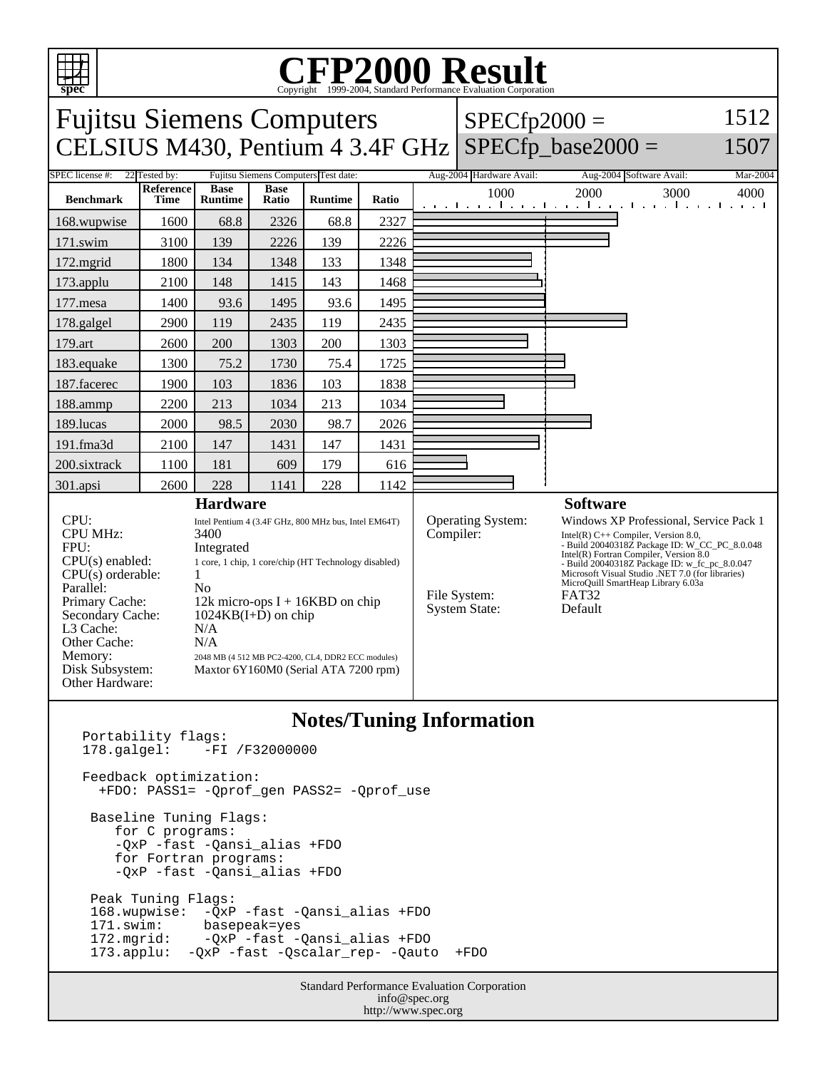

## Copyright ©1999-2004, Standard Performance Evaluation Corporation

Fujitsu Siemens Computers CELSIUS M430, Pentium  $4 \frac{3.4F}{GHz}$  SPECfp\_base2000 =  $SPECfp2000 =$ 

1512

### 1507

SPEC license #: 22 Tested by: Fujitsu Siemens Computers Test date: Aug-2004 Hardware Avail: Aug-2004 Software Avail: Mar-2004 **Benchmark Reference Time Base Runtime Base Ratio Runtime Ratio** 1000 2000 3000 4000 168.wupwise 1600 68.8 2326 68.8 2327 171.swim | 3100 | 139 | 2226 | 139 | 2226 172.mgrid | 1800 | 134 | 1348 | 133 | 1348 173.applu | 2100 | 148 | 1415 | 143 | 1468 177. mesa | 1400 | 93.6 | 1495 | 93.6 | 1495 178.galgel | 2900 | 119 | 2435 | 119 | 2435 179.art 2600 200 1303 200 1303 183.equake 1300 75.2 1730 75.4 1725 187.facerec | 1900 | 103 | 1836 | 103 | 1838 188.ammp | 2200 | 213 | 1034 | 213 | 1034 189.lucas | 2000 | 98.5 | 2030 | 98.7 | 2026 191.fma3d | 2100 | 147 | 1431 | 147 | 1431 200.sixtrack 1100 181 609 179 616 301.apsi | 2600 | 228 | 1141 | 228 | 1142 **Hardware** CPU: Intel Pentium 4 (3.4F GHz, 800 MHz bus, Intel EM64T) CPU MHz: 3400 FPU: Integrated CPU(s) enabled: 1 core, 1 chip, 1 core/chip (HT Technology disabled)  $CPU(s)$  orderable:  $1$ Parallel: No Primary Cache: 12k micro-ops I + 16KBD on chip Secondary Cache: 1024KB(I+D) on chip L3 Cache: N/A Other Cache: N/A **Memory:** 2048 MB (4 512 MB PC2-4200, CL4, DDR2 ECC modules) Disk Subsystem: Maxtor 6Y160M0 (Serial ATA 7200 rpm) Other Hardware: **Software** Operating System: Windows XP Professional, Service Pack 1<br>Compiler: Intel(R) C++ Compiler, Version 8.0, Compiler: Intel(R) C++ Compiler, Version 8.0,<br>- Build 20040318Z Package ID: W\_CC\_PC\_8.0.048 Intel(R) Fortran Compiler, Version 8.0 - Build 20040318Z Package ID: w\_fc\_pc\_8.0.047 Microsoft Visual Studio .NET 7.0 (for libraries) MicroQuill SmartHeap Library 6.03a File System: FAT32<br>System State: Default System State:

#### **Notes/Tuning Information**

Portability flags:<br>178.galgel: -FI -FI /F32000000 Feedback optimization: +FDO: PASS1= -Qprof\_gen PASS2= -Qprof\_use Baseline Tuning Flags: for C programs: -QxP -fast -Qansi\_alias +FDO for Fortran programs: -QxP -fast -Qansi\_alias +FDO Peak Tuning Flags: 168.wupwise: -QxP -fast -Qansi\_alias +FDO 171.swim: basepeak=yes 172.mgrid: -QxP -fast -Qansi\_alias +FDO 173.applu: -QxP -fast -Qscalar\_rep- -Qauto +FDO

> Standard Performance Evaluation Corporation info@spec.org http://www.spec.org